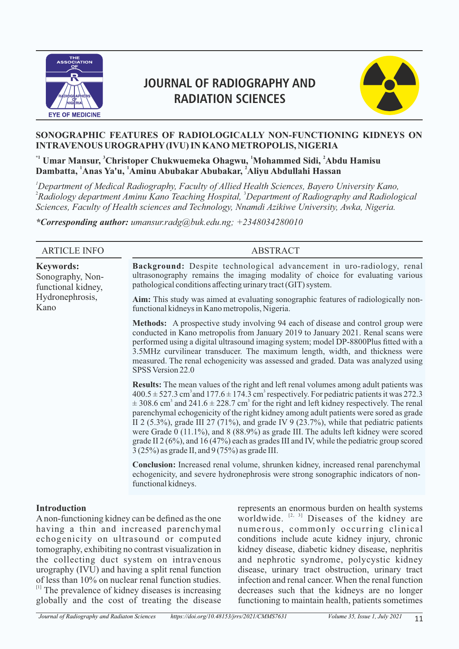

# **JOURNAL OF RADIOGRAPHY AND RADIATION SCIENCES**



#### **SONOGRAPHIC FEATURES OF RADIOLOGICALLY NON-FUNCTIONING KIDNEYS ON INTRAVENOUS UROGRAPHY (IVU) IN KANO METROPOLIS, NIGERIA**

 $^{\ast}$ ' Umar Mansur,  $^3$ Christoper Chukwuemeka Ohagwu,  $^1$ Mohammed Sidi,  $^2$ Abdu Hamisu **<sup>1</sup> <sup>1</sup> <sup>2</sup> Dambatta, Anas Ya'u, Aminu Abubakar Abubakar, Aliyu Abdullahi Hassan** 

*<sup>1</sup>Department of Medical Radiography, Faculty of Allied Health Sciences, Bayero University Kano,*  <sup>2</sup>Radiology department Aminu Kano Teaching Hospital, <sup>3</sup>Department of Radiography and Radiological *Sciences, Faculty of Health sciences and Technology, Nnamdi Azikiwe University, Awka, Nigeria.*

*\*Corresponding author: umansur.radg@buk.edu.ng; +2348034280010*

| <b>ARTICLE INFO</b>                                        | <b>ABSTRACT</b>                                                                                                                                                                                                                                                                                                                                                                                                                                                                                                                                                                                                                                                                                                                                                                           |
|------------------------------------------------------------|-------------------------------------------------------------------------------------------------------------------------------------------------------------------------------------------------------------------------------------------------------------------------------------------------------------------------------------------------------------------------------------------------------------------------------------------------------------------------------------------------------------------------------------------------------------------------------------------------------------------------------------------------------------------------------------------------------------------------------------------------------------------------------------------|
| <b>Keywords:</b><br>Sonography, Non-<br>functional kidney, | Background: Despite technological advancement in uro-radiology, renal<br>ultrasonography remains the imaging modality of choice for evaluating various<br>pathological conditions affecting urinary tract (GIT) system.                                                                                                                                                                                                                                                                                                                                                                                                                                                                                                                                                                   |
| Hydronephrosis,<br>Kano                                    | Aim: This study was aimed at evaluating sonographic features of radiologically non-<br>functional kidneys in Kano metropolis, Nigeria.                                                                                                                                                                                                                                                                                                                                                                                                                                                                                                                                                                                                                                                    |
|                                                            | <b>Methods:</b> A prospective study involving 94 each of disease and control group were<br>conducted in Kano metropolis from January 2019 to January 2021. Renal scans were<br>performed using a digital ultrasound imaging system; model DP-8800Plus fitted with a<br>3.5MHz curvilinear transducer. The maximum length, width, and thickness were<br>measured. The renal echogenicity was assessed and graded. Data was analyzed using<br>SPSS Version 22.0                                                                                                                                                                                                                                                                                                                             |
|                                                            | <b>Results:</b> The mean values of the right and left renal volumes among adult patients was<br>$400.5 \pm 527.3$ cm <sup>3</sup> and 177.6 $\pm$ 174.3 cm <sup>3</sup> respectively. For pediatric patients it was 272.3<br>$\pm$ 308.6 cm <sup>3</sup> and 241.6 $\pm$ 228.7 cm <sup>3</sup> for the right and left kidney respectively. The renal<br>parenchymal echogenicity of the right kidney among adult patients were sored as grade<br>II 2 (5.3%), grade III 27 (71%), and grade IV 9 (23.7%), while that pediatric patients<br>were Grade $0$ (11.1%), and 8 (88.9%) as grade III. The adults left kidney were scored<br>grade II $2(6\%)$ , and $16(47\%)$ each as grades III and IV, while the pediatric group scored<br>$3(25\%)$ as grade II, and $9(75\%)$ as grade III. |
|                                                            | <b>Conclusion:</b> Increased renal volume, shrunken kidney, increased renal parenchymal<br>echogenicity, and severe hydronephrosis were strong sonographic indicators of non-<br>functional kidneys.                                                                                                                                                                                                                                                                                                                                                                                                                                                                                                                                                                                      |
|                                                            |                                                                                                                                                                                                                                                                                                                                                                                                                                                                                                                                                                                                                                                                                                                                                                                           |

#### **Introduction**

A non-functioning kidney can be defined as the one having a thin and increased parenchymal echogenicity on ultrasound or computed tomography, exhibiting no contrast visualization in the collecting duct system on intravenous urography (IVU) and having a split renal function of less than 10% on nuclear renal function studies.  $[1]$  The prevalence of kidney diseases is increasing globally and the cost of treating the disease represents an enormous burden on health systems worldwide.  $[2, 3]$  Diseases of the kidney are numerous, commonly occurring clinical conditions include acute kidney injury, chronic kidney disease, diabetic kidney disease, nephritis and nephrotic syndrome, polycystic kidney disease, urinary tract obstruction, urinary tract infection and renal cancer. When the renal function decreases such that the kidneys are no longer functioning to maintain health, patients sometimes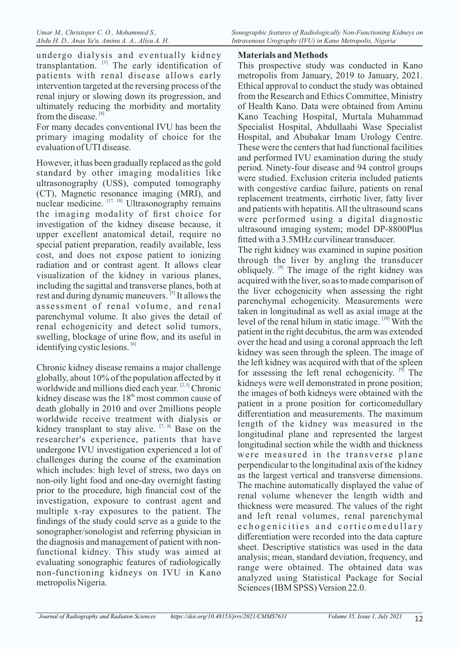*Sonographic features of Radiologically Non-Functioning Kidneys on Intravenous Urography (IVU) in Kano Metropolis, Nigeria*

undergo dialysis and eventually kidney  $transplantation.$ <sup>[3]</sup> The early identification of patients with renal disease allows early intervention targeted at the reversing process of the renal injury or slowing down its progression, and ultimately reducing the morbidity and mortality from the disease.<sup>[4]</sup>

For many decades conventional IVU has been the primary imaging modality of choice for the evaluation of UTI disease.

However, it has been gradually replaced as the gold standard by other imaging modalities like ultrasonography (USS), computed tomography (CT), Magnetic resonance imaging (MRI), and nuclear medicine.  $[17, 18]$  Ultrasonography remains the imaging modality of first choice for investigation of the kidney disease because, it upper excellent anatomical detail, require no special patient preparation, readily available, less cost, and does not expose patient to ionizing radiation and or contrast agent. It allows clear visualization of the kidney in various planes, including the sagittal and transverse planes, both at rest and during dynamic maneuvers.<sup>[5]</sup> It allows the assessment of renal volume, and renal parenchymal volume. It also gives the detail of renal echogenicity and detect solid tumors, swelling, blockage of urine flow, and its useful in identifying cystic lesions.  $[6]$ 

Chronic kidney disease remains a major challenge globally, about 10% of the population affected by it worldwide and millions died each year. [2,3] Chronic kidney disease was the  $18<sup>th</sup>$  most common cause of death globally in 2010 and over 2millions people worldwide receive treatment with dialysis or kidney transplant to stay alive.  $[7, 8]$  Base on the researcher's experience, patients that have undergone IVU investigation experienced a lot of challenges during the course of the examination which includes: high level of stress, two days on non-oily light food and one-day overnight fasting prior to the procedure, high financial cost of the investigation, exposure to contrast agent and multiple x-ray exposures to the patient. The findings of the study could serve as a guide to the sonographer/sonologist and referring physician in the diagnosis and management of patient with nonfunctional kidney. This study was aimed at evaluating sonographic features of radiologically non-functioning kidneys on IVU in Kano metropolis Nigeria.

# **Materials and Methods**

This prospective study was conducted in Kano metropolis from January, 2019 to January, 2021. Ethical approval to conduct the study was obtained from the Research and Ethics Committee, Ministry of Health Kano. Data were obtained from Aminu Kano Teaching Hospital, Murtala Muhammad Specialist Hospital, Abdullaahi Wase Specialist Hospital, and Abubakar Imam Urology Centre. These were the centers that had functional facilities and performed IVU examination during the study period. Ninety-four disease and 94 control groups were studied. Exclusion criteria included patients with congestive cardiac failure, patients on renal replacement treatments, cirrhotic liver, fatty liver and patients with hepatitis. All the ultrasound scans were performed using a digital diagnostic ultrasound imaging system; model DP-8800Plus fitted with a 3.5MHz curvilinear transducer.

The right kidney was examined in supine position through the liver by angling the transducer obliquely.  $[9]$  The image of the right kidney was acquired with the liver, so as to made comparison of the liver echogenicity when assessing the right parenchymal echogenicity. Measurements were taken in longitudinal as well as axial image at the level of the renal hilum in static image.  $[10]$  With the patient in the right decubitus, the arm was extended over the head and using a coronal approach the left kidney was seen through the spleen. The image of the left kidney was acquired with that of the spleen for assessing the left renal echogenicity.  $[9]$  The kidneys were well demonstrated in prone position; the images of both kidneys were obtained with the patient in a prone position for corticomedullary differentiation and measurements. The maximum length of the kidney was measured in the longitudinal plane and represented the largest longitudinal section while the width and thickness were measured in the transverse plane perpendicular to the longitudinal axis of the kidney as the largest vertical and transverse dimensions. The machine automatically displayed the value of renal volume whenever the length width and thickness were measured. The values of the right and left renal volumes, renal parenchymal e chogenicities and corticomedullary differentiation were recorded into the data capture sheet. Descriptive statistics was used in the data analysis; mean, standard deviation, frequency, and range were obtained. The obtained data was analyzed using Statistical Package for Social Sciences (IBM SPSS) Version 22.0.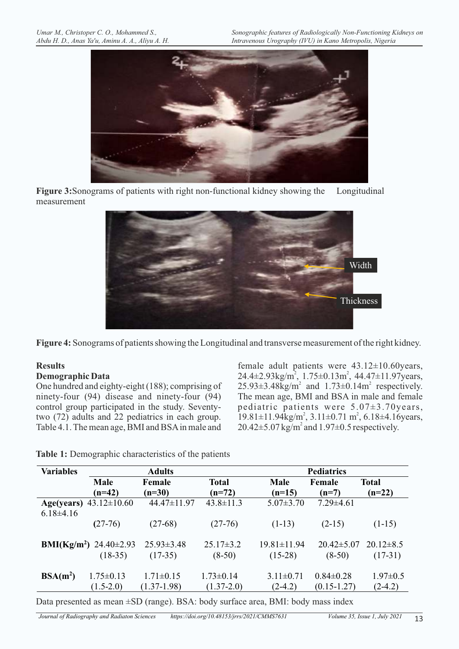

**Figure 3:**Sonograms of patients with right non-functional kidney showing the Longitudinal measurement



**Figure 4:** Sonograms of patients showing the Longitudinal and transverse measurement of the right kidney.

## **Results**

#### **Demographic Data**

One hundred and eighty-eight (188); comprising of ninety-four (94) disease and ninety-four (94) control group participated in the study. Seventytwo (72) adults and 22 pediatrics in each group. Table 4.1. The mean age, BMI and BSA in male and

female adult patients were 43.12±10.60years,  $24.4 \pm 2.93 \text{kg/m}^2$ ,  $1.75 \pm 0.13 \text{m}^2$ ,  $44.47 \pm 11.97 \text{ years}$ ,  $25.93\pm3.48$ kg/m<sup>2</sup> and  $1.73\pm0.14$ m<sup>2</sup> respectively. The mean age, BMI and BSA in male and female pediatric patients were 5.07±3.70years,  $19.81 \pm 11.94 \text{kg/m}^2$ ,  $3.11 \pm 0.71 \text{ m}^2$ ,  $6.18 \pm 4.16 \text{years}$ ,  $20.42 \pm 5.07$  kg/m<sup>2</sup> and  $1.97 \pm 0.5$  respectively.

**Table 1:** Demographic characteristics of the patients

| <b>Variables</b> |                                               | <b>Adults</b>    |                 |                   | <b>Pediatrics</b> |                 |  |  |
|------------------|-----------------------------------------------|------------------|-----------------|-------------------|-------------------|-----------------|--|--|
|                  | <b>Male</b>                                   | Female           | <b>Total</b>    | Male              | Female            | <b>Total</b>    |  |  |
|                  | $(n=42)$                                      | $(n=30)$         | $(n=72)$        | $(n=15)$          | $(n=7)$           | $(n=22)$        |  |  |
|                  | Age(years) $43.12 \pm 10.60$                  | 44.47±11.97      | $43.8 \pm 11.3$ | $5.07 \pm 3.70$   | $7.29 \pm 4.61$   |                 |  |  |
| $6.18\pm4.16$    |                                               |                  |                 |                   |                   |                 |  |  |
|                  | $(27-76)$                                     | $(27-68)$        | $(27-76)$       | $(1-13)$          | $(2-15)$          | $(1-15)$        |  |  |
|                  |                                               |                  |                 |                   |                   |                 |  |  |
|                  | <b>BMI(Kg/m<sup>2</sup>)</b> 24.40 $\pm$ 2.93 | $25.93 \pm 3.48$ | $25.17\pm3.2$   | $19.81 \pm 11.94$ | $20.42 \pm 5.07$  | $20.12 \pm 8.5$ |  |  |
|                  | $(18-35)$                                     | $(17-35)$        | $(8-50)$        | $(15-28)$         | $(8-50)$          | $(17-31)$       |  |  |
|                  |                                               |                  |                 |                   |                   |                 |  |  |
| $BSA(m^2)$       | $1.75 \pm 0.13$                               | $1.71 \pm 0.15$  | $1.73 \pm 0.14$ | $3.11 \pm 0.71$   | $0.84 \pm 0.28$   | $1.97 \pm 0.5$  |  |  |
|                  | $(1.5-2.0)$                                   | $(1.37-1.98)$    | $(1.37-2.0)$    | $(2-4.2)$         | $(0.15 - 1.27)$   | $(2-4.2)$       |  |  |

Data presented as mean ±SD (range). BSA: body surface area, BMI: body mass index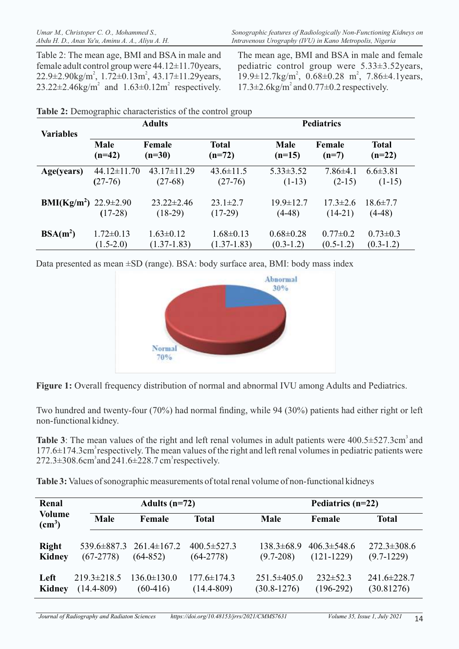Table 2: The mean age, BMI and BSA in male and female adult control group were 44.12±11.70years,  $22.9 \pm 2.90 \text{kg/m}^2$ ,  $1.72 \pm 0.13 \text{m}^2$ ,  $43.17 \pm 11.29 \text{years}$ ,  $23.22 \pm 2.46$ kg/m<sup>2</sup> and  $1.63 \pm 0.12$ m<sup>2</sup> respectively. The mean age, BMI and BSA in male and female pediatric control group were 5.33±3.52years,  $19.9 \pm 12.7 \text{kg/m}^2$ ,  $0.68 \pm 0.28$  m<sup>2</sup>,  $7.86 \pm 4.1 \text{years}$ ,  $17.3 \pm 2.6$ kg/m<sup>2</sup> and  $0.77 \pm 0.2$  respectively.

|                                              | <b>Adults</b>     |                               |                             | <b>Pediatrics</b>           |                             |                            |  |
|----------------------------------------------|-------------------|-------------------------------|-----------------------------|-----------------------------|-----------------------------|----------------------------|--|
| <b>Variables</b>                             | Male              | Female                        | <b>Total</b>                | <b>Male</b>                 | Female                      | <b>Total</b>               |  |
|                                              | $(n=42)$          | $(n=30)$                      | $(n=72)$                    | $(n=15)$                    | $(n=7)$                     | $(n=22)$                   |  |
| Age(years)                                   | $44.12 \pm 11.70$ | $43.17 \pm 11.29$             | $43.6 \pm 11.5$             | $5.33 \pm 3.52$             | $7.86\pm4.1$                | $6.6 \pm 3.81$             |  |
|                                              | $(27-76)$         | $(27-68)$                     | $(27-76)$                   | $(1-13)$                    | $(2-15)$                    | $(1-15)$                   |  |
| <b>BMI(Kg/m<sup>2</sup>)</b> 22.9 $\pm$ 2.90 | $(17-28)$         | $23.22 \pm 2.46$<br>$(18-29)$ | $23.1 \pm 2.7$<br>$(17-29)$ | $19.9 \pm 12.7$<br>$(4-48)$ | $17.3 \pm 2.6$<br>$(14-21)$ | $18.6 \pm 7.7$<br>$(4-48)$ |  |
| $BSA(m^2)$                                   | $1.72 \pm 0.13$   | $1.63 \pm 0.12$               | $1.68 \pm 0.13$             | $0.68 \pm 0.28$             | $0.77 \pm 0.2$              | $0.73 \pm 0.3$             |  |
|                                              | $(1.5-2.0)$       | $(1.37 - 1.83)$               | $(1.37-1.83)$               | $(0.3-1.2)$                 | $(0.5-1.2)$                 | $(0.3-1.2)$                |  |

|  | Table 2: Demographic characteristics of the control group |
|--|-----------------------------------------------------------|
|--|-----------------------------------------------------------|

Data presented as mean ±SD (range). BSA: body surface area, BMI: body mass index



**Figure 1:** Overall frequency distribution of normal and abnormal IVU among Adults and Pediatrics.

Two hundred and twenty-four (70%) had normal finding, while 94 (30%) patients had either right or left non-functional kidney.

**Table 3**: The mean values of the right and left renal volumes in adult patients were  $400.5 \pm 527.3 \text{cm}^3$  and  $177.6 \pm 174.3$ cm<sup>3</sup> respectively. The mean values of the right and left renal volumes in pediatric patients were  $272.3 \pm 308.6$ cm<sup>3</sup> and  $241.6 \pm 228.7$  cm<sup>3</sup> respectively.

**Table 3:** Values of sonographic measurements of total renal volume of non-functional kidneys

| Renal                               |                                     | Adults $(n=72)$                                   |                                     | Pediatrics $(n=22)$                |                                   |                                   |  |
|-------------------------------------|-------------------------------------|---------------------------------------------------|-------------------------------------|------------------------------------|-----------------------------------|-----------------------------------|--|
| <b>Volume</b><br>(cm <sup>3</sup> ) | <b>Male</b>                         | Female                                            | Total                               | <b>Male</b>                        | Female                            | <b>Total</b>                      |  |
| <b>Right</b><br>Kidney              | $(67-2778)$                         | $539.6 \pm 887.3$ 261.4 $\pm 167.2$<br>$(64-852)$ | $400.5 \pm 527.3$<br>$(64-2778)$    | $138.3 \pm 68.9$<br>$(9.7 - 208)$  | $406.3 \pm 548.6$<br>$(121-1229)$ | $272.3 \pm 308.6$<br>$(9.7-1229)$ |  |
| Left<br>Kidney                      | $219.3 \pm 218.5$<br>$(14.4 - 809)$ | $136.0 \pm 130.0$<br>$(60-416)$                   | $177.6 \pm 174.3$<br>$(14.4 - 809)$ | $251.5\pm405.0$<br>$(30.8 - 1276)$ | $232\pm52.3$<br>$(196-292)$       | $241.6 \pm 228.7$<br>(30.81276)   |  |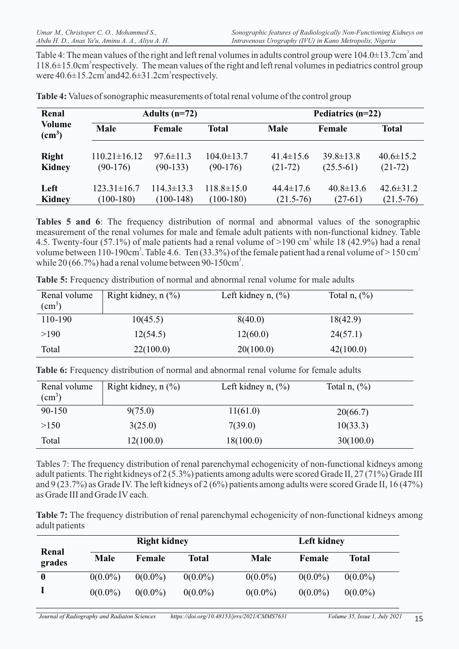Table 4: The mean values of the right and left renal volumes in adults control group were  $104.0\pm13.7$ cm<sup>3</sup> and  $118.6\pm15.0$ cm<sup>3</sup> respectively. The mean values of the right and left renal volumes in pediatrics control group were  $40.6\pm15.2$ cm<sup>3</sup> and  $42.6\pm31.2$ cm<sup>3</sup> respectively.

| Renal                     |                    | Adults $(n=72)$  |                  |                 | Pediatrics $(n=22)$ |                 |  |  |
|---------------------------|--------------------|------------------|------------------|-----------------|---------------------|-----------------|--|--|
| Volume<br>$\text{(cm}^3)$ | Male               | Female           | <b>Total</b>     | <b>Male</b>     | Female              | <b>Total</b>    |  |  |
| <b>Right</b>              | $110.21 \pm 16.12$ | $97.6 \pm 11.3$  | $104.0 \pm 13.7$ | $41.4 \pm 15.6$ | $39.8 \pm 13.8$     | $40.6 \pm 15.2$ |  |  |
| Kidney                    | $(90-176)$         | $(90-133)$       | $(90-176)$       | $(21-72)$       | $(25.5-61)$         | $(21-72)$       |  |  |
| Left                      | $123.31 \pm 16.7$  | $114.3 \pm 13.3$ | $118.8 \pm 15.0$ | $44.4 \pm 17.6$ | $40.8 \pm 13.6$     | $42.6 \pm 31.2$ |  |  |
| <b>Kidney</b>             | $(100-180)$        | $(100-148)$      | $(100-180)$      | $(21.5-76)$     | $(27-61)$           | $(21.5 - 76)$   |  |  |

**Table 4:** Values of sonographic measurements of total renal volume of the control group

**Tables 5 and 6**: The frequency distribution of normal and abnormal values of the sonographic measurement of the renal volumes for male and female adult patients with non-functional kidney. Table 4.5. Twenty-four (57.1%) of male patients had a renal volume of  $>$ 190 cm<sup>3</sup> while 18 (42.9%) had a renal volume between 110-190cm<sup>3</sup>. Table 4.6. Ten (33.3%) of the female patient had a renal volume of  $>$  150 cm<sup>3</sup> while  $20 (66.7\%)$  had a renal volume between 90-150cm<sup>3</sup>.

| Renal volume<br>$\rm (cm^3)$ | Right kidney, $n$ (%) | Left kidney n, $(\% )$ | Total n, $(\%)$ |
|------------------------------|-----------------------|------------------------|-----------------|
| 110-190                      | 10(45.5)              | 8(40.0)                | 18(42.9)        |
| >190                         | 12(54.5)              | 12(60.0)               | 24(57.1)        |
| Total                        | 22(100.0)             | 20(100.0)              | 42(100.0)       |

**Table 5:** Frequency distribution of normal and abnormal renal volume for male adults

Table 6: Frequency distribution of normal and abnormal renal volume for female adults

| Renal volume<br>(cm <sup>3</sup> ) | Right kidney, $n$ $\left(\frac{9}{6}\right)$ | Left kidney n, $(\% )$ | Total n, $(\%)$ |  |
|------------------------------------|----------------------------------------------|------------------------|-----------------|--|
| 90-150                             | 9(75.0)                                      | 11(61.0)               | 20(66.7)        |  |
| >150                               | 3(25.0)                                      | 7(39.0)                | 10(33.3)        |  |
| Total                              | 12(100.0)                                    | 18(100.0)              | 30(100.0)       |  |

Tables 7: The frequency distribution of renal parenchymal echogenicity of non-functional kidneys among adult patients. The right kidneys of 2 (5.3%) patients among adults were scored Grade II, 27 (71%) Grade III and 9 (23.7%) as Grade IV. The left kidneys of 2 (6%) patients among adults were scored Grade II, 16 (47%) as Grade III and Grade IV each.

**Table 7:** The frequency distribution of renal parenchymal echogenicity of non-functional kidneys among adult patients

|                 |             | <b>Right kidney</b> |            | <b>Left kidney</b> |            |              |  |
|-----------------|-------------|---------------------|------------|--------------------|------------|--------------|--|
| Renal<br>grades | <b>Male</b> | Female              | Total      | <b>Male</b>        | Female     | <b>Total</b> |  |
| $\bf{0}$        | $0(0.0\%)$  | $0(0.0\%)$          | $0(0.0\%)$ | $0(0.0\%)$         | $0(0.0\%)$ | $0(0.0\%)$   |  |
|                 | $0(0.0\%)$  | $0(0.0\%)$          | $0(0.0\%)$ | $0(0.0\%)$         | $0(0.0\%)$ | $0(0.0\%)$   |  |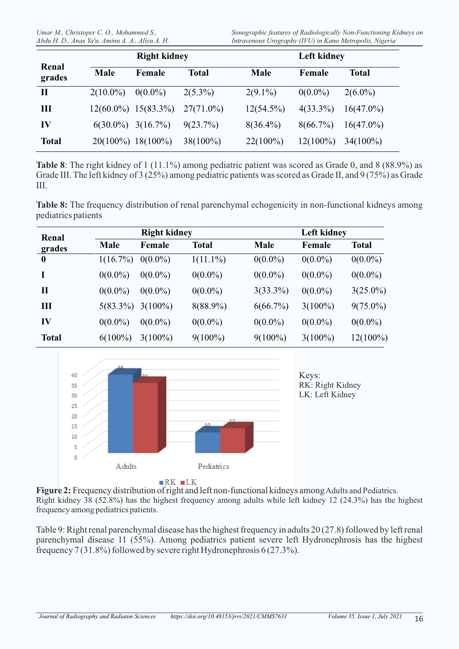|                 |             | <b>Right kidney</b>     |              | <b>Left kidney</b> |             |              |  |
|-----------------|-------------|-------------------------|--------------|--------------------|-------------|--------------|--|
| Renal<br>grades | <b>Male</b> | Female                  | <b>Total</b> | <b>Male</b>        | Female      | <b>Total</b> |  |
| $\mathbf{I}$    | $2(10.0\%)$ | $0(0.0\%)$              | $2(5.3\%)$   | $2(9.1\%)$         | $0(0.0\%)$  | $2(6.0\%)$   |  |
| Ш               |             | $12(60.0\%) 15(83.3\%)$ | $27(71.0\%)$ | $12(54.5\%)$       | $4(33.3\%)$ | $16(47.0\%)$ |  |
| IV              |             | $6(30.0\%)$ 3(16.7%)    | $9(23.7\%)$  | $8(36.4\%)$        | $8(66.7\%)$ | $16(47.0\%)$ |  |
| <b>Total</b>    |             | $20(100\%)$ 18(100%)    | $38(100\%)$  | $22(100\%)$        | $12(100\%)$ | $34(100\%)$  |  |

**Table 8**: The right kidney of 1 (11.1%) among pediatric patient was scored as Grade 0, and 8 (88.9%) as Grade III. The left kidney of 3 (25%) among pediatric patients was scored as Grade II, and 9 (75%) as Grade III.

**Table 8:** The frequency distribution of renal parenchymal echogenicity in non-functional kidneys among pediatrics patients

| Renal            |             | <b>Right kidney</b> |              | Left kidney |            |              |  |
|------------------|-------------|---------------------|--------------|-------------|------------|--------------|--|
| grades           | Male        | Female              | <b>Total</b> | <b>Male</b> | Female     | <b>Total</b> |  |
| $\boldsymbol{0}$ | $1(16.7\%)$ | $0(0.0\%)$          | $1(11.1\%)$  | $0(0.0\%)$  | $0(0.0\%)$ | $0(0.0\%)$   |  |
|                  | $0(0.0\%)$  | $0(0.0\%)$          | $0(0.0\%)$   | $0(0.0\%)$  | $0(0.0\%)$ | $0(0.0\%)$   |  |
| $\mathbf{I}$     | $0(0.0\%)$  | $0(0.0\%)$          | $0(0.0\%)$   | $3(33.3\%)$ | $0(0.0\%)$ | $3(25.0\%)$  |  |
| Ш                | $5(83.3\%)$ | $3(100\%)$          | $8(88.9\%)$  | 6(66.7%)    | $3(100\%)$ | $9(75.0\%)$  |  |
| IV               | $0(0.0\%)$  | $0(0.0\%)$          | $0(0.0\%)$   | $0(0.0\%)$  | $0(0.0\%)$ | $0(0.0\%)$   |  |
| <b>Total</b>     | $6(100\%)$  | $3(100\%)$          | $9(100\%)$   | $9(100\%)$  | $3(100\%)$ | $12(100\%)$  |  |



**Figure 2:** Frequency distribution of right and left non-functional kidneys among Adults and Pediatrics. Right kidney 38 (52.8%) has the highest frequency among adults while left kidney 12 (24.3%) has the highest frequency among pediatrics patients.

Table 9: Right renal parenchymal disease has the highest frequency in adults 20 (27.8) followed by left renal parenchymal disease 11 (55%). Among pediatrics patient severe left Hydronephrosis has the highest frequency 7 (31.8%) followed by severe right Hydronephrosis 6 (27.3%).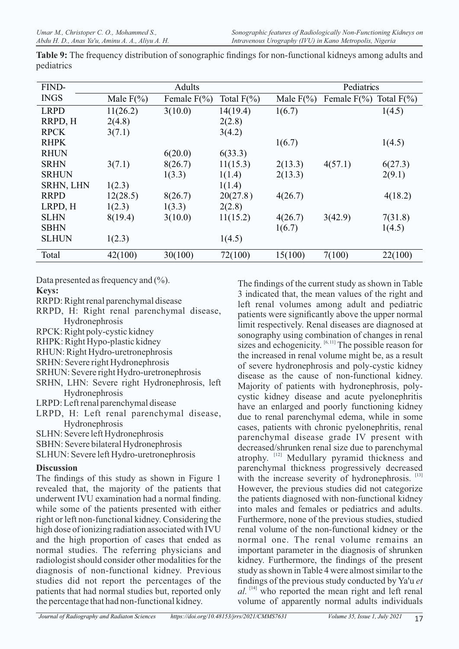| FIND-            |               | Adults          |               | Pediatrics    |                 |               |
|------------------|---------------|-----------------|---------------|---------------|-----------------|---------------|
| <b>INGS</b>      | Male $F(\% )$ | Female $F(\% )$ | Total $F(\%)$ | Male $F(\% )$ | Female $F(\% )$ | Total $F(\%)$ |
| <b>LRPD</b>      | 11(26.2)      | 3(10.0)         | 14(19.4)      | 1(6.7)        |                 | 1(4.5)        |
| RRPD, H          | 2(4.8)        |                 | 2(2.8)        |               |                 |               |
| <b>RPCK</b>      | 3(7.1)        |                 | 3(4.2)        |               |                 |               |
| <b>RHPK</b>      |               |                 |               | 1(6.7)        |                 | 1(4.5)        |
| <b>RHUN</b>      |               | 6(20.0)         | 6(33.3)       |               |                 |               |
| <b>SRHN</b>      | 3(7.1)        | 8(26.7)         | 11(15.3)      | 2(13.3)       | 4(57.1)         | 6(27.3)       |
| <b>SRHUN</b>     |               | 1(3.3)          | 1(1.4)        | 2(13.3)       |                 | 2(9.1)        |
| <b>SRHN, LHN</b> | 1(2.3)        |                 | 1(1.4)        |               |                 |               |
| <b>RRPD</b>      | 12(28.5)      | 8(26.7)         | 20(27.8)      | 4(26.7)       |                 | 4(18.2)       |
| LRPD, H          | 1(2.3)        | 1(3.3)          | 2(2.8)        |               |                 |               |
| <b>SLHN</b>      | 8(19.4)       | 3(10.0)         | 11(15.2)      | 4(26.7)       | 3(42.9)         | 7(31.8)       |
| <b>SBHN</b>      |               |                 |               | 1(6.7)        |                 | 1(4.5)        |
| <b>SLHUN</b>     | 1(2.3)        |                 | 1(4.5)        |               |                 |               |
| Total            | 42(100)       | 30(100)         | 72(100)       | 15(100)       | 7(100)          | 22(100)       |

**Table 9:** The frequency distribution of sonographic findings for non-functional kidneys among adults and pediatrics

Data presented as frequency and  $(\% )$ .

#### **Keys:**

RRPD: Right renal parenchymal disease

RRPD, H: Right renal parenchymal disease, Hydronephrosis

RPCK: Right poly-cystic kidney

RHPK: Right Hypo-plastic kidney

RHUN: Right Hydro-uretronephrosis

SRHN: Severe right Hydronephrosis

SRHUN: Severe right Hydro-uretronephrosis

SRHN, LHN: Severe right Hydronephrosis, left Hydronephrosis

LRPD: Left renal parenchymal disease

LRPD, H: Left renal parenchymal disease, Hydronephrosis

SLHN: Severe left Hydronephrosis

SBHN: Severe bilateral Hydronephrosis

SLHUN: Severe left Hydro-uretronephrosis 

## **Discussion**

The findings of this study as shown in Figure 1 revealed that, the majority of the patients that underwent IVU examination had a normal finding. while some of the patients presented with either right or left non-functional kidney. Considering the high dose of ionizing radiation associated with IVU and the high proportion of cases that ended as normal studies. The referring physicians and radiologist should consider other modalities for the diagnosis of non-functional kidney. Previous studies did not report the percentages of the patients that had normal studies but, reported only the percentage that had non-functional kidney.

The findings of the current study as shown in Table 3 indicated that, the mean values of the right and left renal volumes among adult and pediatric patients were significantly above the upper normal limit respectively. Renal diseases are diagnosed at sonography using combination of changes in renal sizes and echogenicity.  $[6, 11]$  The possible reason for the increased in renal volume might be, as a result of severe hydronephrosis and poly-cystic kidney disease as the cause of non-functional kidney. Majority of patients with hydronephrosis, polycystic kidney disease and acute pyelonephritis have an enlarged and poorly functioning kidney due to renal parenchymal edema, while in some cases, patients with chronic pyelonephritis, renal parenchymal disease grade IV present with decreased/shrunken renal size due to parenchymal atrophy. [12] Medullary pyramid thickness and parenchymal thickness progressively decreased with the increase severity of hydronephrosis.<sup>[13]</sup> However, the previous studies did not categorize the patients diagnosed with non-functional kidney into males and females or pediatrics and adults. Furthermore, none of the previous studies, studied renal volume of the non-functional kidney or the normal one. The renal volume remains an important parameter in the diagnosis of shrunken kidney. Furthermore, the findings of the present study as shown in Table 4 were almost similar to the findings of the previous study conducted by Ya'u *et*   $al.$  <sup>[14]</sup> who reported the mean right and left renal volume of apparently normal adults individuals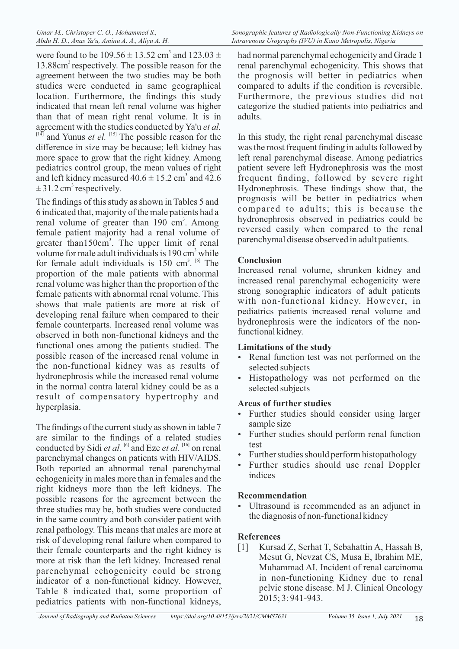were found to be  $109.56 \pm 13.52$  cm<sup>3</sup> and  $123.03 \pm 10.02$ 13.88cm<sup>3</sup> respectively. The possible reason for the agreement between the two studies may be both studies were conducted in same geographical location. Furthermore, the findings this study indicated that mean left renal volume was higher than that of mean right renal volume. It is in agreement with the studies conducted by Ya'u *et al.*  $[14]$  and Yunus *et el.*  $[15]$  The possible reason for the difference in size may be because; left kidney has more space to grow that the right kidney. Among pediatrics control group, the mean values of right and left kidney measured  $40.6 \pm 15.2$  cm<sup>3</sup> and  $42.6$  $\pm$  31.2 cm<sup>3</sup> respectively.

The findings of this study as shown in Tables 5 and 6 indicated that, majority of the male patients had a renal volume of greater than 190 cm<sup>3</sup>. Among female patient majority had a renal volume of greater than150cm<sup>3</sup>. The upper limit of renal volume for male adult individuals is 190 cm<sup>3</sup> while for female adult individuals is  $150 \text{ cm}^3$ . <sup>[6]</sup> The proportion of the male patients with abnormal renal volume was higher than the proportion of the female patients with abnormal renal volume. This shows that male patients are more at risk of developing renal failure when compared to their female counterparts. Increased renal volume was observed in both non-functional kidneys and the functional ones among the patients studied. The possible reason of the increased renal volume in the non-functional kidney was as results of hydronephrosis while the increased renal volume in the normal contra lateral kidney could be as a result of compensatory hypertrophy and hyperplasia.

The findings of the current study as shown in table 7 are similar to the findings of a related studies conducted by Sidi *et al.* <sup>[6]</sup> and Eze *et al.* <sup>[16]</sup> on renal parenchymal changes on patients with HIV/AIDS. Both reported an abnormal renal parenchymal echogenicity in males more than in females and the right kidneys more than the left kidneys. The possible reasons for the agreement between the three studies may be, both studies were conducted in the same country and both consider patient with renal pathology. This means that males are more at risk of developing renal failure when compared to their female counterparts and the right kidney is more at risk than the left kidney. Increased renal parenchymal echogenicity could be strong indicator of a non-functional kidney. However, Table 8 indicated that, some proportion of pediatrics patients with non-functional kidneys,

had normal parenchymal echogenicity and Grade 1 renal parenchymal echogenicity. This shows that the prognosis will better in pediatrics when compared to adults if the condition is reversible. Furthermore, the previous studies did not categorize the studied patients into pediatrics and adults.

In this study, the right renal parenchymal disease was the most frequent finding in adults followed by left renal parenchymal disease. Among pediatrics patient severe left Hydronephrosis was the most frequent finding, followed by severe right Hydronephrosis. These findings show that, the prognosis will be better in pediatrics when compared to adults; this is because the hydronephrosis observed in pediatrics could be reversed easily when compared to the renal parenchymal disease observed in adult patients.

## **Conclusion**

Increased renal volume, shrunken kidney and increased renal parenchymal echogenicity were strong sonographic indicators of adult patients with non-functional kidney. However, in pediatrics patients increased renal volume and hydronephrosis were the indicators of the nonfunctional kidney.

## **Limitations of the study**

- Renal function test was not performed on the selected subjects
- Histopathology was not performed on the selected subjects

## **Areas of further studies**

- Further studies should consider using larger sample size
- Further studies should perform renal function test
- Further studies should perform histopathology
- Further studies should use renal Doppler indices

# **Recommendation**

Ultrasound is recommended as an adjunct in the diagnosis of non-functional kidney

# **References**

[1] Kursad Z, Serhat T, Sebahattin A, Hassah B, Mesut G, Nevzat CS, Musa E, Ibrahim ME, Muhammad AI. Incident of renal carcinoma in non-functioning Kidney due to renal pelvic stone disease. M J. Clinical Oncology 2015; 3: 941-943.